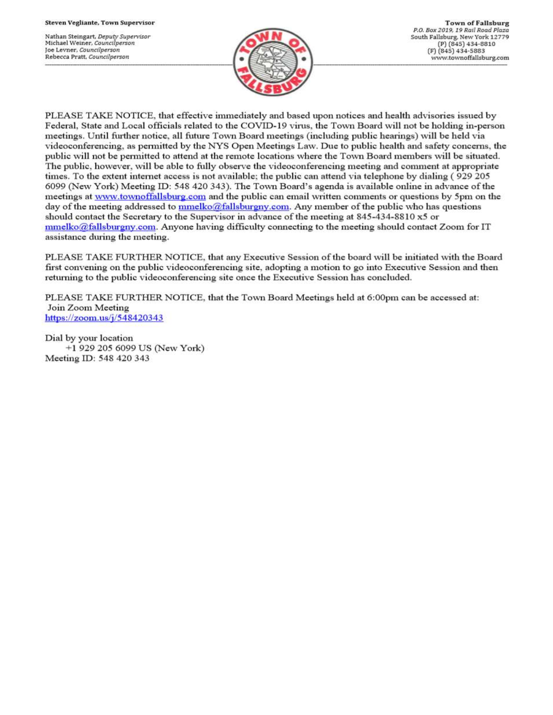Nathan Steingart, Deputy Supervisor Michael Weiner, Councilperson Joe Levner, Councilperson Rebecca Pratt, Councilperson



PLEASE TAKE NOTICE, that effective immediately and based upon notices and health advisories issued by Federal, State and Local officials related to the COVID-19 virus, the Town Board will not be holding in-person meetings. Until further notice, all future Town Board meetings (including public hearings) will be held via videoconferencing, as permitted by the NYS Open Meetings Law. Due to public health and safety concerns, the public will not be permitted to attend at the remote locations where the Town Board members will be situated. The public, however, will be able to fully observe the videoconferencing meeting and comment at appropriate times. To the extent internet access is not available; the public can attend via telephone by dialing (929 205 6099 (New York) Meeting ID: 548 420 343). The Town Board's agenda is available online in advance of the meetings at www.townoffallsburg.com and the public can email written comments or questions by 5pm on the day of the meeting addressed to  $\frac{mmelko@fallsburgny.com}{mclubuygny.com}$ . Any member of the public who has questions should contact the Secretary to the Supervisor in advance of the meeting at 845-434-8810 x5 or  $mmelko@fallsburgny.com.$  Anyone having difficulty connecting to the meeting should contact Zoom for IT assistance during the meeting.

PLEASE TAKE FURTHER NOTICE, that any Executive Session of the board will be initiated with the Board first convening on the public videoconferencing site, adopting a motion to go into Executive Session and then returning to the public videoconferencing site once the Executive Session has concluded.

PLEASE TAKE FURTHER NOTICE, that the Town Board Meetings held at 6:00pm can be accessed at: Join Zoom Meeting https://zoom.us/j/548420343

Dial by your location +1 929 205 6099 US (New York) Meeting ID: 548 420 343